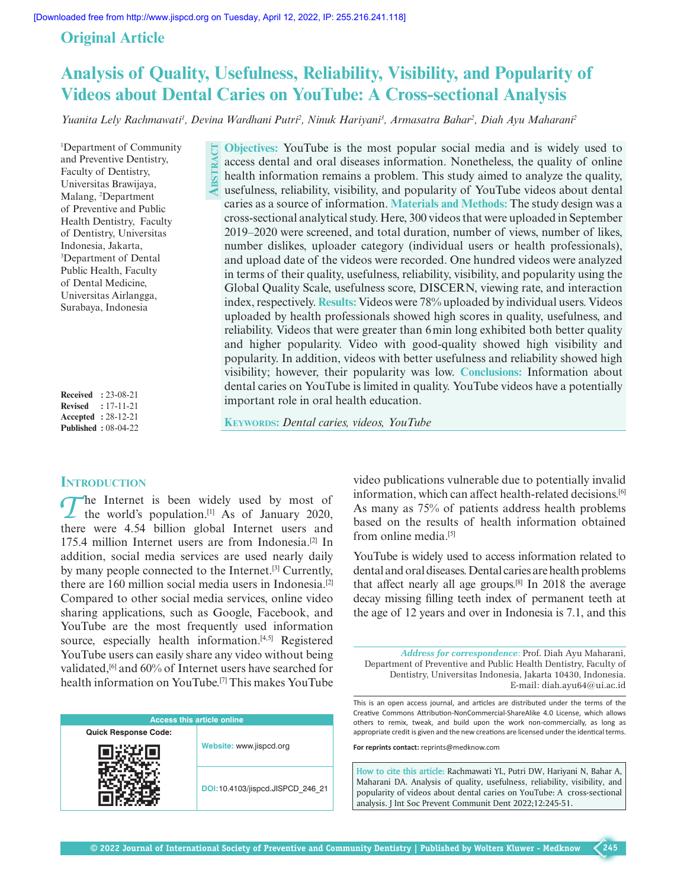$\overline{\mathbf{S}}$ 

**act**

# **Original Article**

# **Analysis of Quality, Usefulness, Reliability, Visibility, and Popularity of Videos about Dental Caries on YouTube: A Cross-sectional Analysis**

Yuanita Lely Rachmawati<sup>1</sup>, Devina Wardhani Putri<sup>2</sup>, Ninuk Hariyani<sup>3</sup>, Armasatra Bahar<sup>2</sup>, Diah Ayu Maharani<sup>2</sup>

1 Department of Community and Preventive Dentistry, Faculty of Dentistry, Universitas Brawijaya, Malang, 2 Department of Preventive and Public Health Dentistry, Faculty of Dentistry, Universitas Indonesia, Jakarta, 3 Department of Dental Public Health, Faculty of Dental Medicine, Universitas Airlangga, Surabaya, Indonesia

**Received :** 23-08-21 **Revised :** 17-11-21 **Accepted :** 28-12-21 **Published :** 08-04-22

# **INTRODUCTION**

*T*he Internet is been widely used by most of the world's population.[1] As of January 2020, there were 4.54 billion global Internet users and 175.4 million Internet users are from Indonesia.<sup>[2]</sup> In addition, social media services are used nearly daily by many people connected to the Internet.<sup>[3]</sup> Currently, there are 160 million social media users in Indonesia.[2] Compared to other social media services, online video sharing applications, such as Google, Facebook, and YouTube are the most frequently used information source, especially health information.<sup>[4,5]</sup> Registered YouTube users can easily share any video without being validated,<sup>[6]</sup> and 60% of Internet users have searched for health information on YouTube.[7] This makes YouTube

| <b>Access this article online</b> |                                  |  |  |  |
|-----------------------------------|----------------------------------|--|--|--|
| <b>Quick Response Code:</b>       |                                  |  |  |  |
|                                   | Website: www.jispcd.org          |  |  |  |
|                                   | DOI:10.4103/jispcd.JISPCD 246 21 |  |  |  |

**Objectives:** YouTube is the most popular social media and is widely used to access dental and oral diseases information. Nonetheless, the quality of online health information remains a problem. This study aimed to analyze the quality, usefulness, reliability, visibility, and popularity of YouTube videos about dental caries as a source of information. **Materials and Methods:** The study design was a cross-sectional analytical study. Here, 300 videos that were uploaded in September 2019–2020 were screened, and total duration, number of views, number of likes, number dislikes, uploader category (individual users or health professionals), and upload date of the videos were recorded. One hundred videos were analyzed in terms of their quality, usefulness, reliability, visibility, and popularity using the Global Quality Scale, usefulness score, DISCERN, viewing rate, and interaction index, respectively. **Results:** Videos were 78% uploaded by individual users. Videos uploaded by health professionals showed high scores in quality, usefulness, and reliability. Videos that were greater than 6min long exhibited both better quality and higher popularity. Video with good-quality showed high visibility and popularity. In addition, videos with better usefulness and reliability showed high visibility; however, their popularity was low. **Conclusions:** Information about dental caries on YouTube is limited in quality. YouTube videos have a potentially important role in oral health education.

**KEYWORDS:** Dental caries, videos, YouTube

video publications vulnerable due to potentially invalid information, which can affect health-related decisions.[6] As many as 75% of patients address health problems based on the results of health information obtained from online media.[5]

YouTube is widely used to access information related to dental and oral diseases. Dental caries are health problems that affect nearly all age groups.[8] In 2018 the average decay missing filling teeth index of permanent teeth at the age of 12 years and over in Indonesia is 7.1, and this

*Address for correspondence*: Prof. Diah Ayu Maharani, Department of Preventive and Public Health Dentistry, Faculty of Dentistry, Universitas Indonesia, Jakarta 10430, Indonesia. E-mail: diah.ayu64@ui.ac.id

This is an open access journal, and articles are distributed under the terms of the Creative Commons Attribution-NonCommercial-ShareAlike 4.0 License, which allows others to remix, tweak, and build upon the work non-commercially, as long as appropriate credit is given and the new creations are licensed under the identical terms.

**For reprints contact:** reprints@medknow.com

**How to cite this article:** Rachmawati YL, Putri DW, Hariyani N, Bahar A, Maharani DA. Analysis of quality, usefulness, reliability, visibility, and popularity of videos about dental caries on YouTube: A cross-sectional analysis. J Int Soc Prevent Communit Dent 2022;12:245-51.

**245**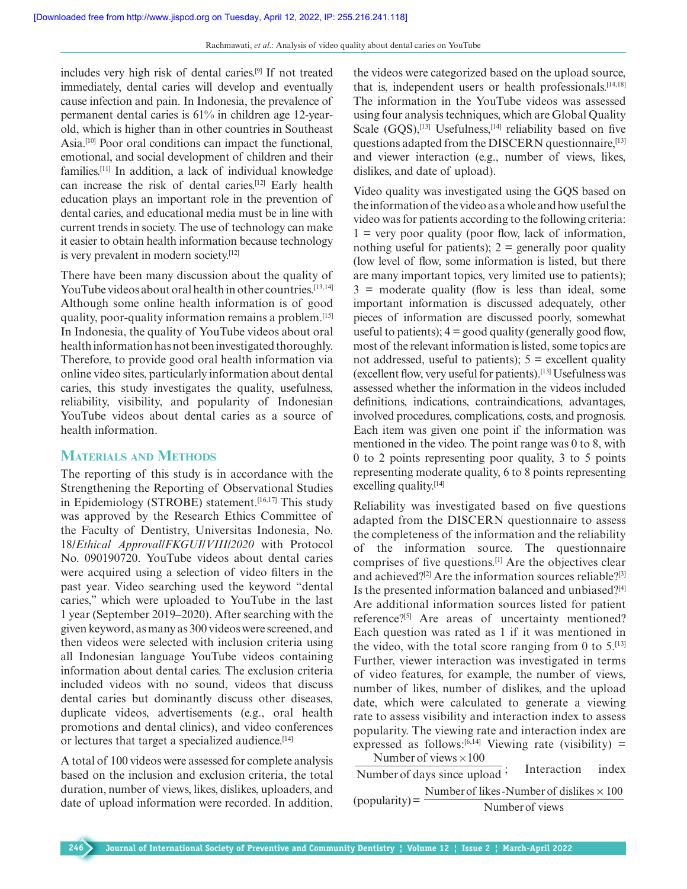includes very high risk of dental caries.[9] If not treated immediately, dental caries will develop and eventually cause infection and pain. In Indonesia, the prevalence of permanent dental caries is 61% in children age 12-yearold, which is higher than in other countries in Southeast Asia.<sup>[10]</sup> Poor oral conditions can impact the functional, emotional, and social development of children and their families.[11] In addition, a lack of individual knowledge can increase the risk of dental caries.[12] Early health education plays an important role in the prevention of dental caries, and educational media must be in line with current trends in society. The use of technology can make it easier to obtain health information because technology is very prevalent in modern society.[12]

There have been many discussion about the quality of YouTube videos about oral health in other countries.<sup>[13,14]</sup> Although some online health information is of good quality, poor-quality information remains a problem.[15] In Indonesia, the quality of YouTube videos about oral health information has not been investigated thoroughly. Therefore, to provide good oral health information via online video sites, particularly information about dental caries, this study investigates the quality, usefulness, reliability, visibility, and popularity of Indonesian YouTube videos about dental caries as a source of health information.

# **Materials and Methods**

The reporting of this study is in accordance with the Strengthening the Reporting of Observational Studies in Epidemiology (STROBE) statement.<sup>[16,17]</sup> This study was approved by the Research Ethics Committee of the Faculty of Dentistry, Universitas Indonesia, No. 18/*Ethical Approval/FKGUI/VIII/2020* with Protocol No. 090190720. YouTube videos about dental caries were acquired using a selection of video filters in the past year. Video searching used the keyword "dental caries," which were uploaded to YouTube in the last 1 year (September 2019–2020). After searching with the given keyword, as many as 300 videos were screened, and then videos were selected with inclusion criteria using all Indonesian language YouTube videos containing information about dental caries. The exclusion criteria included videos with no sound, videos that discuss dental caries but dominantly discuss other diseases, duplicate videos, advertisements (e.g., oral health promotions and dental clinics), and video conferences or lectures that target a specialized audience.<sup>[14]</sup>

A total of 100 videos were assessed for complete analysis based on the inclusion and exclusion criteria, the total duration, number of views, likes, dislikes, uploaders, and date of upload information were recorded. In addition, the videos were categorized based on the upload source, that is, independent users or health professionals.<sup>[14,18]</sup> The information in the YouTube videos was assessed using four analysis techniques, which are Global Quality Scale  $(GQS)$ ,<sup>[13]</sup> Usefulness,<sup>[14]</sup> reliability based on five questions adapted from the DISCERN questionnaire,<sup>[13]</sup> and viewer interaction (e.g., number of views, likes, dislikes, and date of upload).

Video quality was investigated using the GQS based on the information of the video as a whole and how useful the video was for patients according to the following criteria:  $1 =$  very poor quality (poor flow, lack of information, nothing useful for patients);  $2 =$  generally poor quality (low level of flow, some information is listed, but there are many important topics, very limited use to patients);  $3$  = moderate quality (flow is less than ideal, some important information is discussed adequately, other pieces of information are discussed poorly, somewhat useful to patients);  $4 = \text{good quality}$  (generally good flow, most of the relevant information is listed, some topics are not addressed, useful to patients);  $5 =$  excellent quality (excellent flow, very useful for patients).[13] Usefulness was assessed whether the information in the videos included definitions, indications, contraindications, advantages, involved procedures, complications, costs, and prognosis. Each item was given one point if the information was mentioned in the video. The point range was 0 to 8, with 0 to 2 points representing poor quality, 3 to 5 points representing moderate quality, 6 to 8 points representing excelling quality.[14]

Reliability was investigated based on five questions adapted from the DISCERN questionnaire to assess the completeness of the information and the reliability of the information source. The questionnaire comprises of five questions.[1] Are the objectives clear and achieved?<sup>[2]</sup> Are the information sources reliable?<sup>[3]</sup> Is the presented information balanced and unbiased?[4] Are additional information sources listed for patient reference?[5] Are areas of uncertainty mentioned? Each question was rated as 1 if it was mentioned in the video, with the total score ranging from 0 to  $5$ .<sup>[13]</sup> Further, viewer interaction was investigated in terms of video features, for example, the number of views, number of likes, number of dislikes, and the upload date, which were calculated to generate a viewing rate to assess visibility and interaction index to assess popularity. The viewing rate and interaction index are expressed as follows:<sup>[6,14]</sup> Viewing rate (visibility) = Number of views  $\times 100$ 

Number of days since upload  $\frac{1}{2}$ Interaction index  $($ popularity $)$  = Number of likes-Number of dislikes  $\times 100$ Numberof views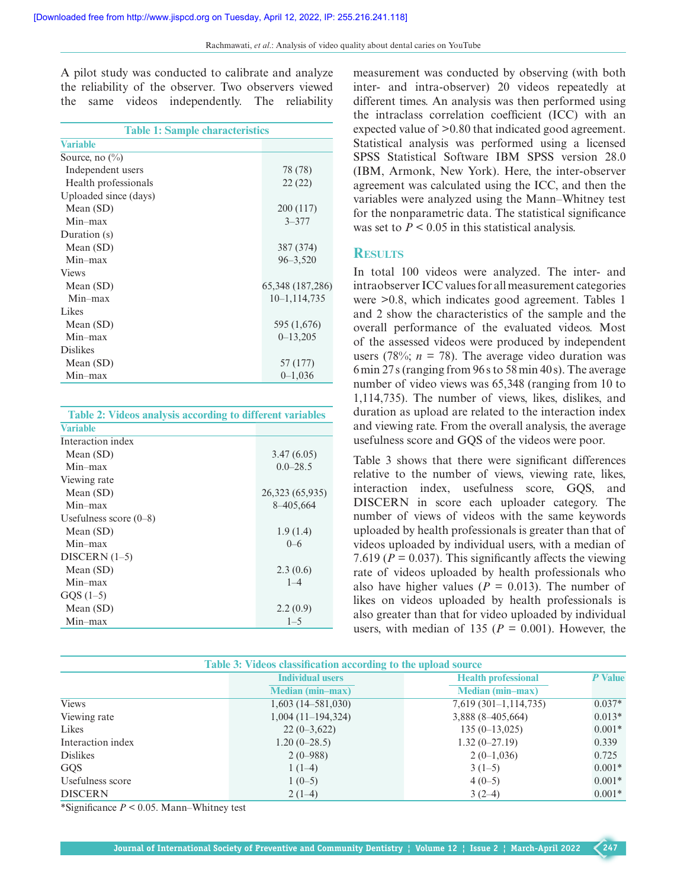A pilot study was conducted to calibrate and analyze the reliability of the observer. Two observers viewed the same videos independently. The reliability

| <b>Table 1: Sample characteristics</b> |                  |  |  |  |
|----------------------------------------|------------------|--|--|--|
| <b>Variable</b>                        |                  |  |  |  |
| Source, no $\binom{0}{0}$              |                  |  |  |  |
| Independent users                      | 78 (78)          |  |  |  |
| Health professionals                   | 22(22)           |  |  |  |
| Uploaded since (days)                  |                  |  |  |  |
| Mean $(SD)$                            | 200 (117)        |  |  |  |
| $Min-max$                              | $3 - 377$        |  |  |  |
| Duration (s)                           |                  |  |  |  |
| Mean $(SD)$                            | 387 (374)        |  |  |  |
| $Min-max$                              | $96 - 3,520$     |  |  |  |
| <b>Views</b>                           |                  |  |  |  |
| Mean $(SD)$                            | 65,348 (187,286) |  |  |  |
| $Min-max$                              | 10–1,114,735     |  |  |  |
| Likes                                  |                  |  |  |  |
| Mean $(SD)$                            | 595 (1,676)      |  |  |  |
| $Min-max$                              | $0 - 13,205$     |  |  |  |
| <b>Dislikes</b>                        |                  |  |  |  |
| Mean $(SD)$                            | 57 (177)         |  |  |  |
| Min-max                                | $0 - 1,036$      |  |  |  |

|  | Table 2: Videos analysis according to different variables |  |
|--|-----------------------------------------------------------|--|
|  |                                                           |  |

| <b>Variable</b>          |                 |
|--------------------------|-----------------|
| Interaction index        |                 |
| Mean $(SD)$              | 3.47(6.05)      |
| Min–max                  | $0.0 - 28.5$    |
| Viewing rate             |                 |
| Mean $(SD)$              | 26,323 (65,935) |
| Min–max                  | 8-405,664       |
| Usefulness score $(0-8)$ |                 |
| Mean $(SD)$              | 1.9(1.4)        |
| Min–max                  | $0 - 6$         |
| DISCERN $(1-5)$          |                 |
| Mean $(SD)$              | 2.3(0.6)        |
| Min–max                  | $1 - 4$         |
| $GQS(1-5)$               |                 |
| Mean $(SD)$              | 2.2(0.9)        |
| Min–max                  | $1 - 5$         |
|                          |                 |

measurement was conducted by observing (with both inter- and intra-observer) 20 videos repeatedly at different times. An analysis was then performed using the intraclass correlation coefficient (ICC) with an expected value of >0.80 that indicated good agreement. Statistical analysis was performed using a licensed SPSS Statistical Software IBM SPSS version 28.0 (IBM, Armonk, New York). Here, the inter-observer agreement was calculated using the ICC, and then the variables were analyzed using the Mann–Whitney test for the nonparametric data. The statistical significance was set to  $P < 0.05$  in this statistical analysis.

#### **Results**

In total 100 videos were analyzed. The inter- and intraobserver ICC values for all measurement categories were >0.8, which indicates good agreement. Tables 1 and 2 show the characteristics of the sample and the overall performance of the evaluated videos. Most of the assessed videos were produced by independent users (78%;  $n = 78$ ). The average video duration was 6min 27s (ranging from 96s to 58min 40 s). The average number of video views was 65,348 (ranging from 10 to 1,114,735). The number of views, likes, dislikes, and duration as upload are related to the interaction index and viewing rate. From the overall analysis, the average usefulness score and GQS of the videos were poor.

Table 3 shows that there were significant differences relative to the number of views, viewing rate, likes, interaction index, usefulness score, GQS, and DISCERN in score each uploader category. The number of views of videos with the same keywords uploaded by health professionals is greater than that of videos uploaded by individual users, with a median of 7.619 ( $P = 0.037$ ). This significantly affects the viewing rate of videos uploaded by health professionals who also have higher values ( $P = 0.013$ ). The number of likes on videos uploaded by health professionals is also greater than that for video uploaded by individual users, with median of 135 ( $P = 0.001$ ). However, the

| Table 3: Videos classification according to the upload source |                         |                            |          |  |  |
|---------------------------------------------------------------|-------------------------|----------------------------|----------|--|--|
|                                                               | <b>Individual users</b> | <b>Health professional</b> | P Value  |  |  |
|                                                               | <b>Median (min-max)</b> | <b>Median (min-max)</b>    |          |  |  |
| <b>Views</b>                                                  | $1,603(14-581,030)$     | $7,619(301-1,114,735)$     | $0.037*$ |  |  |
| Viewing rate                                                  | $1,004(11-194,324)$     | 3,888 (8-405,664)          | $0.013*$ |  |  |
| Likes                                                         | $22(0-3,622)$           | $135(0-13,025)$            | $0.001*$ |  |  |
| Interaction index                                             | $1.20(0-28.5)$          | $1.32(0-27.19)$            | 0.339    |  |  |
| <b>Dislikes</b>                                               | $2(0-988)$              | $2(0-1,036)$               | 0.725    |  |  |
| <b>GQS</b>                                                    | $1(1-4)$                | $3(1-5)$                   | $0.001*$ |  |  |
| Usefulness score                                              | $1(0-5)$                | $4(0-5)$                   | $0.001*$ |  |  |
| <b>DISCERN</b>                                                | $2(1-4)$                | $3(2-4)$                   | $0.001*$ |  |  |

\*Significance *P* < 0.05. Mann–Whitney test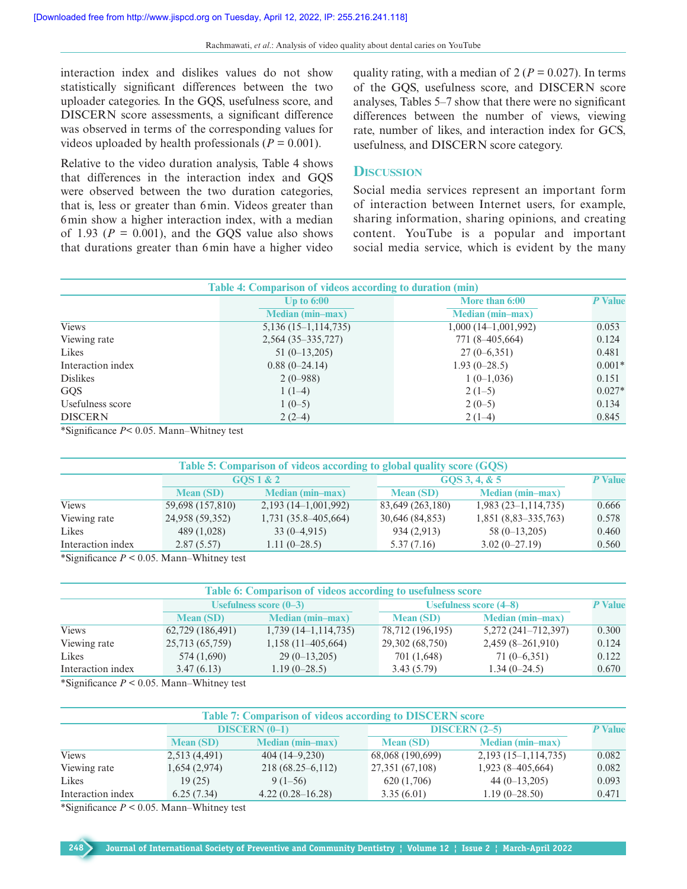interaction index and dislikes values do not show statistically significant differences between the two uploader categories. In the GQS, usefulness score, and DISCERN score assessments, a significant difference was observed in terms of the corresponding values for videos uploaded by health professionals ( $P = 0.001$ ).

Relative to the video duration analysis, Table 4 shows that differences in the interaction index and GQS were observed between the two duration categories, that is, less or greater than 6min. Videos greater than 6min show a higher interaction index, with a median of 1.93 ( $P = 0.001$ ), and the GQS value also shows that durations greater than 6min have a higher video

quality rating, with a median of  $2 (P = 0.027)$ . In terms of the GQS, usefulness score, and DISCERN score analyses, Tables 5–7 show that there were no significant differences between the number of views, viewing rate, number of likes, and interaction index for GCS, usefulness, and DISCERN score category.

## **Discussion**

Social media services represent an important form of interaction between Internet users, for example, sharing information, sharing opinions, and creating content. YouTube is a popular and important social media service, which is evident by the many

| Table 4: Comparison of videos according to duration (min) |                         |                         |          |  |  |
|-----------------------------------------------------------|-------------------------|-------------------------|----------|--|--|
|                                                           | $Up$ to $6:00$          | More than 6:00          |          |  |  |
|                                                           | <b>Median (min-max)</b> | <b>Median (min-max)</b> |          |  |  |
| <b>Views</b>                                              | $5,136(15-1,114,735)$   | $1,000(14-1,001,992)$   | 0.053    |  |  |
| Viewing rate                                              | $2,564(35-335,727)$     | 771 (8-405,664)         | 0.124    |  |  |
| Likes                                                     | $51(0-13,205)$          | $27(0-6,351)$           | 0.481    |  |  |
| Interaction index                                         | $0.88(0-24.14)$         | $1.93(0-28.5)$          | $0.001*$ |  |  |
| <b>Dislikes</b>                                           | $2(0-988)$              | $1(0-1,036)$            | 0.151    |  |  |
| <b>GQS</b>                                                | $1(1-4)$                | $2(1-5)$                | $0.027*$ |  |  |
| Usefulness score                                          | $1(0-5)$                | $2(0-5)$                | 0.134    |  |  |
| <b>DISCERN</b>                                            | $2(2-4)$                | $2(1-4)$                | 0.845    |  |  |

\*Significance *P*< 0.05. Mann–Whitney test

| Table 5: Comparison of videos according to global quality score (GQS) |                  |                         |               |                  |                         |       |
|-----------------------------------------------------------------------|------------------|-------------------------|---------------|------------------|-------------------------|-------|
|                                                                       | GOS1&2           |                         | GQS 3, 4, & 5 | <b>P</b> Value   |                         |       |
|                                                                       | <b>Mean (SD)</b> | <b>Median (min-max)</b> |               | <b>Mean (SD)</b> | <b>Median (min-max)</b> |       |
| <b>Views</b>                                                          | 59,698 (157,810) | $2,193(14-1,001,992)$   |               | 83,649 (263,180) | $1,983(23-1,114,735)$   | 0.666 |
| Viewing rate                                                          | 24,958 (59,352)  | $1,731(35.8-405.664)$   |               | 30,646 (84,853)  | $1,851(8,83-335,763)$   | 0.578 |
| Likes                                                                 | 489 (1,028)      | $33(0-4.915)$           |               | 934 (2,913)      | $58(0-13,205)$          | 0.460 |
| Interaction index                                                     | 2.87(5.57)       | $1.11(0-28.5)$          |               | 5.37(7.16)       | $3.02(0-27.19)$         | 0.560 |

\*Significance *P* < 0.05. Mann–Whitney test

| Table 6: Comparison of videos according to usefulness score |                          |                         |                  |                          |       |  |
|-------------------------------------------------------------|--------------------------|-------------------------|------------------|--------------------------|-------|--|
|                                                             | Usefulness score $(0-3)$ |                         |                  | Usefulness score $(4-8)$ |       |  |
|                                                             | <b>Mean (SD)</b>         | <b>Median (min-max)</b> | <b>Mean (SD)</b> | <b>Median (min-max)</b>  |       |  |
| <b>Views</b>                                                | 62,729 (186,491)         | $1,739$ (14-1,114,735)  | 78,712 (196,195) | 5,272 (241-712,397)      | 0.300 |  |
| Viewing rate                                                | 25,713 (65,759)          | $1,158(11-405,664)$     | 29,302 (68,750)  | $2,459(8-261,910)$       | 0.124 |  |
| Likes                                                       | 574 (1,690)              | $29(0-13,205)$          | 701 (1,648)      | $71(0-6,351)$            | 0.122 |  |
| Interaction index                                           | 3.47(6.13)               | $1.19(0-28.5)$          | 3.43(5.79)       | $1.34(0-24.5)$           | 0.670 |  |

\*Significance  $P < 0.05$ . Mann–Whitney test

| <b>Table 7: Comparison of videos according to DISCERN score</b> |                  |                         |                  |                         |       |  |
|-----------------------------------------------------------------|------------------|-------------------------|------------------|-------------------------|-------|--|
|                                                                 | $DISCERN (0-1)$  |                         |                  | $DISCERN (2-5)$         |       |  |
|                                                                 | <b>Mean (SD)</b> | <b>Median (min-max)</b> | <b>Mean (SD)</b> | <b>Median (min-max)</b> |       |  |
| <b>Views</b>                                                    | 2,513 (4,491)    | $404(14-9,230)$         | 68,068 (190,699) | $2,193(15-1,114,735)$   | 0.082 |  |
| Viewing rate                                                    | 1,654(2,974)     | $218(68.25-6,112)$      | 27,351 (67,108)  | $1,923(8-405,664)$      | 0.082 |  |
| Likes                                                           | 19(25)           | $9(1-56)$               | 620 (1,706)      | $44(0-13,205)$          | 0.093 |  |
| Interaction index                                               | 6.25(7.34)       | $4.22(0.28 - 16.28)$    | 3.35(6.01)       | $1.19(0-28.50)$         | 0.471 |  |

\*Significance  $P < 0.05$ . Mann–Whitney test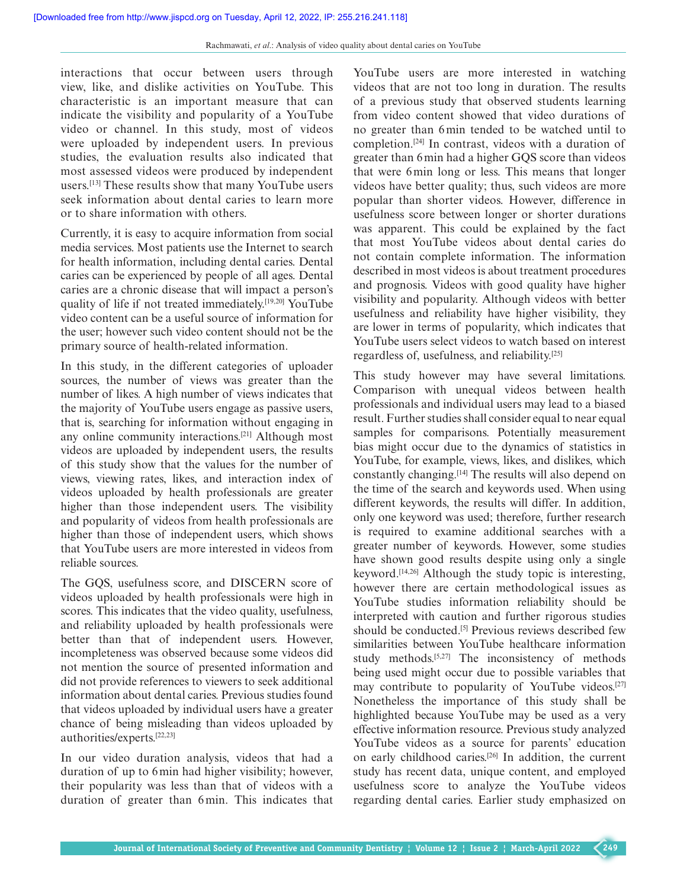interactions that occur between users through view, like, and dislike activities on YouTube. This characteristic is an important measure that can indicate the visibility and popularity of a YouTube video or channel. In this study, most of videos were uploaded by independent users. In previous studies, the evaluation results also indicated that most assessed videos were produced by independent users.[13] These results show that many YouTube users seek information about dental caries to learn more or to share information with others.

Currently, it is easy to acquire information from social media services. Most patients use the Internet to search for health information, including dental caries. Dental caries can be experienced by people of all ages. Dental caries are a chronic disease that will impact a person's quality of life if not treated immediately.<sup>[19,20]</sup> YouTube video content can be a useful source of information for the user; however such video content should not be the primary source of health-related information.

In this study, in the different categories of uploader sources, the number of views was greater than the number of likes. A high number of views indicates that the majority of YouTube users engage as passive users, that is, searching for information without engaging in any online community interactions.[21] Although most videos are uploaded by independent users, the results of this study show that the values for the number of views, viewing rates, likes, and interaction index of videos uploaded by health professionals are greater higher than those independent users. The visibility and popularity of videos from health professionals are higher than those of independent users, which shows that YouTube users are more interested in videos from reliable sources.

The GQS, usefulness score, and DISCERN score of videos uploaded by health professionals were high in scores. This indicates that the video quality, usefulness, and reliability uploaded by health professionals were better than that of independent users. However, incompleteness was observed because some videos did not mention the source of presented information and did not provide references to viewers to seek additional information about dental caries. Previous studies found that videos uploaded by individual users have a greater chance of being misleading than videos uploaded by authorities/experts.[22,23]

In our video duration analysis, videos that had a duration of up to 6min had higher visibility; however, their popularity was less than that of videos with a duration of greater than 6min. This indicates that

YouTube users are more interested in watching videos that are not too long in duration. The results of a previous study that observed students learning from video content showed that video durations of no greater than 6min tended to be watched until to completion.[24] In contrast, videos with a duration of greater than 6min had a higher GQS score than videos that were 6min long or less. This means that longer videos have better quality; thus, such videos are more popular than shorter videos. However, difference in usefulness score between longer or shorter durations was apparent. This could be explained by the fact that most YouTube videos about dental caries do not contain complete information. The information described in most videos is about treatment procedures and prognosis. Videos with good quality have higher visibility and popularity. Although videos with better usefulness and reliability have higher visibility, they are lower in terms of popularity, which indicates that YouTube users select videos to watch based on interest regardless of, usefulness, and reliability.[25]

This study however may have several limitations. Comparison with unequal videos between health professionals and individual users may lead to a biased result. Further studies shall consider equal to near equal samples for comparisons. Potentially measurement bias might occur due to the dynamics of statistics in YouTube, for example, views, likes, and dislikes, which constantly changing.[14] The results will also depend on the time of the search and keywords used. When using different keywords, the results will differ. In addition, only one keyword was used; therefore, further research is required to examine additional searches with a greater number of keywords. However, some studies have shown good results despite using only a single keyword.[14,26] Although the study topic is interesting, however there are certain methodological issues as YouTube studies information reliability should be interpreted with caution and further rigorous studies should be conducted.<sup>[5]</sup> Previous reviews described few similarities between YouTube healthcare information study methods.<sup>[5,27]</sup> The inconsistency of methods being used might occur due to possible variables that may contribute to popularity of YouTube videos.<sup>[27]</sup> Nonetheless the importance of this study shall be highlighted because YouTube may be used as a very effective information resource. Previous study analyzed YouTube videos as a source for parents' education on early childhood caries.[26] In addition, the current study has recent data, unique content, and employed usefulness score to analyze the YouTube videos regarding dental caries. Earlier study emphasized on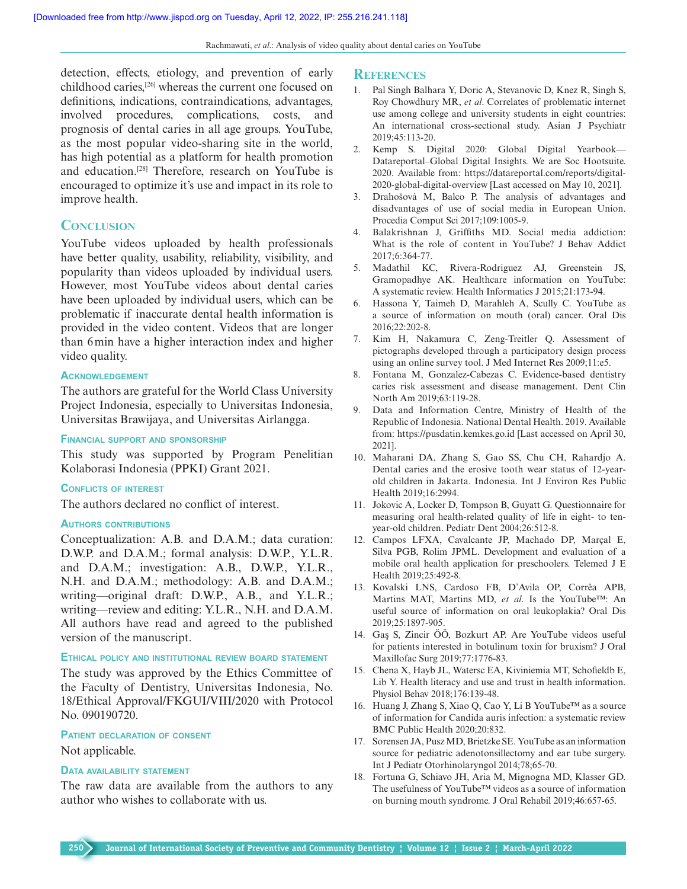detection, effects, etiology, and prevention of early childhood caries,[26] whereas the current one focused on definitions, indications, contraindications, advantages, involved procedures, complications, costs, and prognosis of dental caries in all age groups. YouTube, as the most popular video-sharing site in the world, has high potential as a platform for health promotion and education.[28] Therefore, research on YouTube is encouraged to optimize it's use and impact in its role to improve health.

# **CONCLUSION**

YouTube videos uploaded by health professionals have better quality, usability, reliability, visibility, and popularity than videos uploaded by individual users. However, most YouTube videos about dental caries have been uploaded by individual users, which can be problematic if inaccurate dental health information is provided in the video content. Videos that are longer than 6min have a higher interaction index and higher video quality.

#### **Acknowledgement**

The authors are grateful for the World Class University Project Indonesia, especially to Universitas Indonesia, Universitas Brawijaya, and Universitas Airlangga.

## **Financial support and sponsorship**

This study was supported by Program Penelitian Kolaborasi Indonesia (PPKI) Grant 2021.

#### **Conflicts of interest**

The authors declared no conflict of interest.

#### **Authors contributions**

Conceptualization: A.B. and D.A.M.; data curation: D.W.P. and D.A.M.; formal analysis: D.W.P., Y.L.R. and D.A.M.; investigation: A.B., D.W.P., Y.L.R., N.H. and D.A.M.; methodology: A.B. and D.A.M.; writing—original draft: D.W.P., A.B., and Y.L.R.; writing—review and editing: Y.L.R., N.H. and D.A.M. All authors have read and agreed to the published version of the manuscript.

## **Ethical policy and institutional review board statement**

The study was approved by the Ethics Committee of the Faculty of Dentistry, Universitas Indonesia, No. 18/Ethical Approval/FKGUI/VIII/2020 with Protocol No. 090190720.

## **Patient declaration of consent**

Not applicable.

## **Data availability statement**

The raw data are available from the authors to any author who wishes to collaborate with us.

#### **References**

- 1. Pal Singh Balhara Y, Doric A, Stevanovic D, Knez R, Singh S, Roy Chowdhury MR, *et al*. Correlates of problematic internet use among college and university students in eight countries: An international cross-sectional study. Asian J Psychiatr 2019;45:113-20.
- 2. Kemp S. Digital 2020: Global Digital Yearbook— Datareportal–Global Digital Insights. We are Soc Hootsuite. 2020. Available from: https://datareportal.com/reports/digital-2020-global-digital-overview [Last accessed on May 10, 2021].
- 3. Drahošová M, Balco P. The analysis of advantages and disadvantages of use of social media in European Union. Procedia Comput Sci 2017;109:1005-9.
- 4. Balakrishnan J, Griffiths MD. Social media addiction: What is the role of content in YouTube? J Behav Addict 2017;6:364-77.
- 5. Madathil KC, Rivera-Rodriguez AJ, Greenstein JS, Gramopadhye AK. Healthcare information on YouTube: A systematic review. Health Informatics J 2015;21:173-94.
- 6. Hassona Y, Taimeh D, Marahleh A, Scully C. YouTube as a source of information on mouth (oral) cancer. Oral Dis 2016;22:202-8.
- 7. Kim H, Nakamura C, Zeng-Treitler Q. Assessment of pictographs developed through a participatory design process using an online survey tool. J Med Internet Res 2009;11:e5.
- 8. Fontana M, Gonzalez-Cabezas C. Evidence-based dentistry caries risk assessment and disease management. Dent Clin North Am 2019;63:119-28.
- 9. Data and Information Centre, Ministry of Health of the Republic of Indonesia. National Dental Health. 2019. Available from: https://pusdatin.kemkes.go.id [Last accessed on April 30, 2021].
- 10. Maharani DA, Zhang S, Gao SS, Chu CH, Rahardjo A. Dental caries and the erosive tooth wear status of 12-yearold children in Jakarta. Indonesia. Int J Environ Res Public Health 2019;16:2994.
- 11. Jokovic A, Locker D, Tompson B, Guyatt G. Questionnaire for measuring oral health-related quality of life in eight- to tenyear-old children. Pediatr Dent 2004;26:512-8.
- 12. Campos LFXA, Cavalcante JP, Machado DP, Marçal E, Silva PGB, Rolim JPML. Development and evaluation of a mobile oral health application for preschoolers. Telemed J E Health 2019;25:492-8.
- 13. Kovalski LNS, Cardoso FB, D'Avila OP, Corrêa APB, Martins MAT, Martins MD, *et al*. Is the YouTube™: An useful source of information on oral leukoplakia? Oral Dis 2019;25:1897-905.
- 14. Gaş S, Zincir ÖÖ, Bozkurt AP. Are YouTube videos useful for patients interested in botulinum toxin for bruxism? J Oral Maxillofac Surg 2019;77:1776-83.
- 15. Chena X, Hayb JL, Watersc EA, Kiviniemia MT, Schofieldb E, Lib Y. Health literacy and use and trust in health information. Physiol Behav 2018;176:139-48.
- 16. Huang J, Zhang S, Xiao Q, Cao Y, Li B YouTube™ as a source of information for Candida auris infection: a systematic review BMC Public Health 2020;20:832.
- 17. Sorensen JA, Pusz MD, Brietzke SE. YouTube as an information source for pediatric adenotonsillectomy and ear tube surgery. Int J Pediatr Otorhinolaryngol 2014;78;65-70.
- 18. Fortuna G, Schiavo JH, Aria M, Mignogna MD, Klasser GD. The usefulness of YouTube™ videos as a source of information on burning mouth syndrome. J Oral Rehabil 2019;46:657-65.